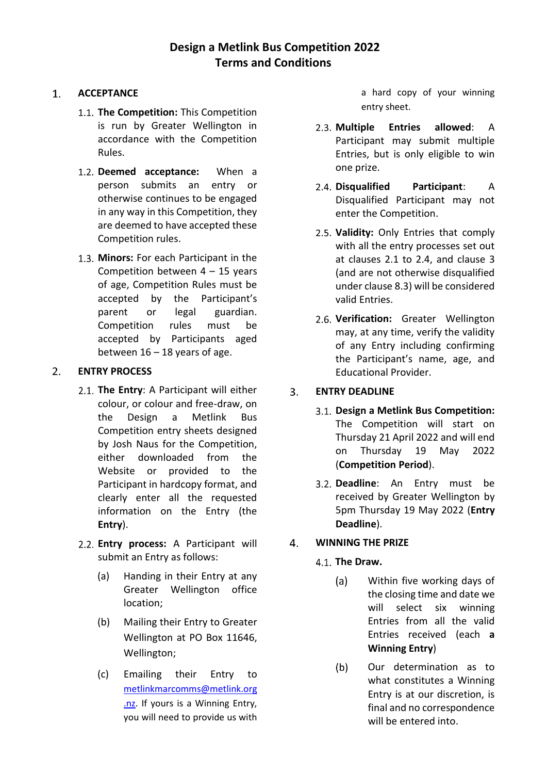#### $1<sup>1</sup>$ **ACCEPTANCE**

- **The Competition:** This Competition is run by Greater Wellington in accordance with the Competition Rules.
- **Deemed acceptance:** When a person submits an entry or otherwise continues to be engaged in any way in this Competition, they are deemed to have accepted these Competition rules.
- **Minors:** For each Participant in the Competition between  $4 - 15$  years of age, Competition Rules must be accepted by the Participant's parent or legal guardian. Competition rules must be accepted by Participants aged between  $16 - 18$  years of age.

#### $2.$ **ENTRY PROCESS**

- **The Entry**: A Participant will either colour, or colour and free-draw, on the Design a Metlink Bus Competition entry sheets designed by Josh Naus for the Competition, either downloaded from the Website or provided to the Participant in hardcopy format, and clearly enter all the requested information on the Entry (the **Entry**).
- **Entry process:** A Participant will submit an Entry as follows:
	- (a) Handing in their Entry at any Greater Wellington office location;
	- (b) Mailing their Entry to Greater Wellington at PO Box 11646, Wellington;
	- (c) Emailing their Entry to [metlinkmarcomms@metlink.org](mailto:metlinkmarcomms@metlink.org.nz) [.nz.](mailto:metlinkmarcomms@metlink.org.nz) If yours is a Winning Entry, you will need to provide us with

a hard copy of your winning entry sheet.

- **Multiple Entries allowed**: A Participant may submit multiple Entries, but is only eligible to win one prize.
- **Disqualified Participant**: A Disqualified Participant may not enter the Competition.
- **Validity:** Only Entries that comply with all the entry processes set out at clauses 2.1 to 2.4, and clause 3 (and are not otherwise disqualified under clause 8.3) will be considered valid Entries.
- **Verification:** Greater Wellington may, at any time, verify the validity of any Entry including confirming the Participant's name, age, and Educational Provider.

#### **ENTRY DEADLINE**  $3<sub>1</sub>$

- **Design a Metlink Bus Competition:**  The Competition will start on Thursday 21 April 2022 and will end on Thursday 19 May 2022 (**Competition Period**).
- **Deadline**: An Entry must be received by Greater Wellington by 5pm Thursday 19 May 2022 (**Entry Deadline**).

#### $4.$ **WINNING THE PRIZE**

- **The Draw.**
	- $(a)$ Within five working days of the closing time and date we will select six winning Entries from all the valid Entries received (each **a Winning Entry**)
	- $(b)$ Our determination as to what constitutes a Winning Entry is at our discretion, is final and no correspondence will be entered into.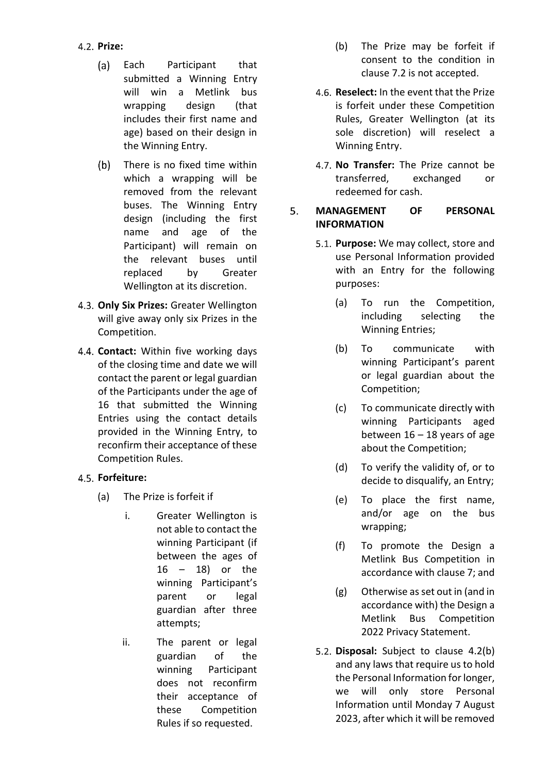- **Prize:** 
	- $(a)$ Each Participant that submitted a Winning Entry will win a Metlink bus wrapping design (that includes their first name and age) based on their design in the Winning Entry.
	- $(b)$ There is no fixed time within which a wrapping will be removed from the relevant buses. The Winning Entry design (including the first name and age of the Participant) will remain on the relevant buses until replaced by Greater Wellington at its discretion.
- **Only Six Prizes:** Greater Wellington will give away only six Prizes in the Competition.
- **Contact:** Within five working days of the closing time and date we will contact the parent or legal guardian of the Participants under the age of 16 that submitted the Winning Entries using the contact details provided in the Winning Entry, to reconfirm their acceptance of these Competition Rules.

### **Forfeiture:**

- (a) The Prize is forfeit if
	- i. Greater Wellington is not able to contact the winning Participant (if between the ages of 16 – 18) or the winning Participant's parent or legal guardian after three attempts;
	- ii. The parent or legal guardian of the winning Participant does not reconfirm their acceptance of these Competition Rules if so requested.
- (b) The Prize may be forfeit if consent to the condition in clause 7.2 is not accepted.
- **Reselect:** In the event that the Prize is forfeit under these Competition Rules, Greater Wellington (at its sole discretion) will reselect a Winning Entry.
- **No Transfer:** The Prize cannot be transferred, exchanged or redeemed for cash.

### 5. **MANAGEMENT OF PERSONAL INFORMATION**

- **Purpose:** We may collect, store and use Personal Information provided with an Entry for the following purposes:
	- (a) To run the Competition, including selecting the Winning Entries;
	- (b) To communicate with winning Participant's parent or legal guardian about the Competition;
	- (c) To communicate directly with winning Participants aged between  $16 - 18$  years of age about the Competition;
	- (d) To verify the validity of, or to decide to disqualify, an Entry;
	- (e) To place the first name, and/or age on the bus wrapping;
	- (f) To promote the Design a Metlink Bus Competition in accordance with clause 7; and
	- (g) Otherwise as set out in (and in accordance with) the Design a Metlink Bus Competition 2022 Privacy Statement.
- **Disposal:** Subject to clause 4.2(b) and any laws that require us to hold the Personal Information for longer, we will only store Personal Information until Monday 7 August 2023, after which it will be removed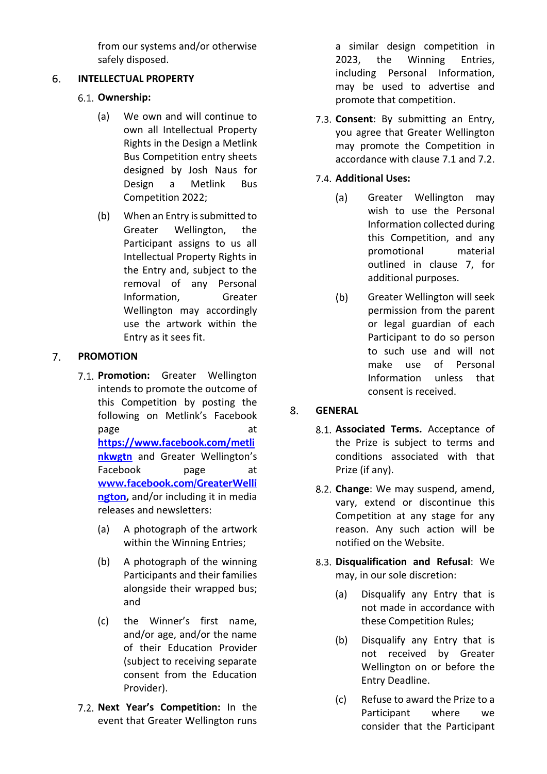from our systems and/or otherwise safely disposed.

#### **INTELLECTUAL PROPERTY** 6.

# **Ownership:**

- (a) We own and will continue to own all Intellectual Property Rights in the Design a Metlink Bus Competition entry sheets designed by Josh Naus for Design a Metlink Bus Competition 2022;
- (b) When an Entry is submitted to Greater Wellington, the Participant assigns to us all Intellectual Property Rights in the Entry and, subject to the removal of any Personal Information, Greater Wellington may accordingly use the artwork within the Entry as it sees fit.

#### $\overline{7}$ . **PROMOTION**

- **Promotion:** Greater Wellington intends to promote the outcome of this Competition by posting the following on Metlink's Facebook page at a control of the page at a control of the state at a control of the state at a control of the state at  $\alpha$ **[https://www.facebook.com/metli](https://www.facebook.com/metlinkwgtn) [nkwgtn](https://www.facebook.com/metlinkwgtn)** and Greater Wellington's Facebook page at **[www.facebook.com/GreaterWelli](http://www.facebook.com/GreaterWellington) [ngton](http://www.facebook.com/GreaterWellington),** and/or including it in media releases and newsletters:
	- (a) A photograph of the artwork within the Winning Entries;
	- (b) A photograph of the winning Participants and their families alongside their wrapped bus; and
	- (c) the Winner's first name, and/or age, and/or the name of their Education Provider (subject to receiving separate consent from the Education Provider).
- 7.2. **Next Year's Competition:** In the event that Greater Wellington runs

a similar design competition in 2023, the Winning Entries, including Personal Information, may be used to advertise and promote that competition.

**Consent**: By submitting an Entry, you agree that Greater Wellington may promote the Competition in accordance with clause 7.1 and 7.2.

## **Additional Uses:**

- $(a)$ Greater Wellington may wish to use the Personal Information collected during this Competition, and any promotional material outlined in clause 7, for additional purposes.
- $(b)$ Greater Wellington will seek permission from the parent or legal guardian of each Participant to do so person to such use and will not make use of Personal Information unless that consent is received.

#### $8<sub>1</sub>$ **GENERAL**

- **Associated Terms.** Acceptance of the Prize is subject to terms and conditions associated with that Prize (if any).
- **Change**: We may suspend, amend, vary, extend or discontinue this Competition at any stage for any reason. Any such action will be notified on the Website.
- **Disqualification and Refusal**: We may, in our sole discretion:
	- (a) Disqualify any Entry that is not made in accordance with these Competition Rules;
	- (b) Disqualify any Entry that is not received by Greater Wellington on or before the Entry Deadline.
	- (c) Refuse to award the Prize to a Participant where we consider that the Participant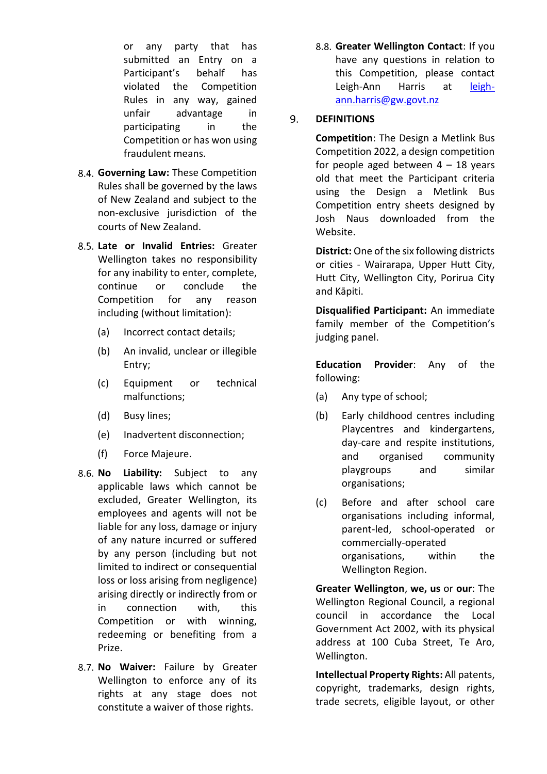or any party that has submitted an Entry on a Participant's behalf has violated the Competition Rules in any way, gained unfair advantage in participating in the Competition or has won using fraudulent means.

- **Governing Law:** These Competition Rules shall be governed by the laws of New Zealand and subject to the non-exclusive jurisdiction of the courts of New Zealand.
- **Late or Invalid Entries:** Greater Wellington takes no responsibility for any inability to enter, complete, continue or conclude the Competition for any reason including (without limitation):
	- (a) Incorrect contact details;
	- (b) An invalid, unclear or illegible Entry;
	- (c) Equipment or technical malfunctions;
	- (d) Busy lines;
	- (e) Inadvertent disconnection;
	- (f) Force Majeure.
- **No Liability:** Subject to any applicable laws which cannot be excluded, Greater Wellington, its employees and agents will not be liable for any loss, damage or injury of any nature incurred or suffered by any person (including but not limited to indirect or consequential loss or loss arising from negligence) arising directly or indirectly from or in connection with, this Competition or with winning, redeeming or benefiting from a Prize.
- 8.7. No Waiver: Failure by Greater Wellington to enforce any of its rights at any stage does not constitute a waiver of those rights.

**Greater Wellington Contact**: If you have any questions in relation to this Competition, please contact Leigh-Ann Harris at [leigh](file://///gw.govt.nz/commonfiles/P&C-CustomerEngagement/Campaigns/0.%20FY%2021-22%20Activity/J2122078%20Design%20a%20Metlink%20Bus%20Competition/Terms%20and%20Conditions%20+%20Privacy/leigh-ann.harris@gw.govt.nz)[ann.harris@gw.govt.nz](file://///gw.govt.nz/commonfiles/P&C-CustomerEngagement/Campaigns/0.%20FY%2021-22%20Activity/J2122078%20Design%20a%20Metlink%20Bus%20Competition/Terms%20and%20Conditions%20+%20Privacy/leigh-ann.harris@gw.govt.nz)

#### 9. **DEFINITIONS**

**Competition**: The Design a Metlink Bus Competition 2022, a design competition for people aged between  $4 - 18$  years old that meet the Participant criteria using the Design a Metlink Bus Competition entry sheets designed by Josh Naus downloaded from the Website.

**District:** One of the six following districts or cities - Wairarapa, Upper Hutt City, Hutt City, Wellington City, Porirua City and Kāpiti.

**Disqualified Participant:** An immediate family member of the Competition's judging panel.

**Education Provider**: Any of the following:

- (a) Any type of school;
- (b) Early childhood centres including Playcentres and kindergartens, day-care and respite institutions, and organised community playgroups and similar organisations;
- (c) Before and after school care organisations including informal, parent-led, school-operated or commercially-operated organisations, within the Wellington Region.

**Greater Wellington**, **we, us** or **our**: The Wellington Regional Council, a regional council in accordance the Local Government Act 2002, with its physical address at 100 Cuba Street, Te Aro, Wellington.

**Intellectual Property Rights:** All patents, copyright, trademarks, design rights, trade secrets, eligible layout, or other